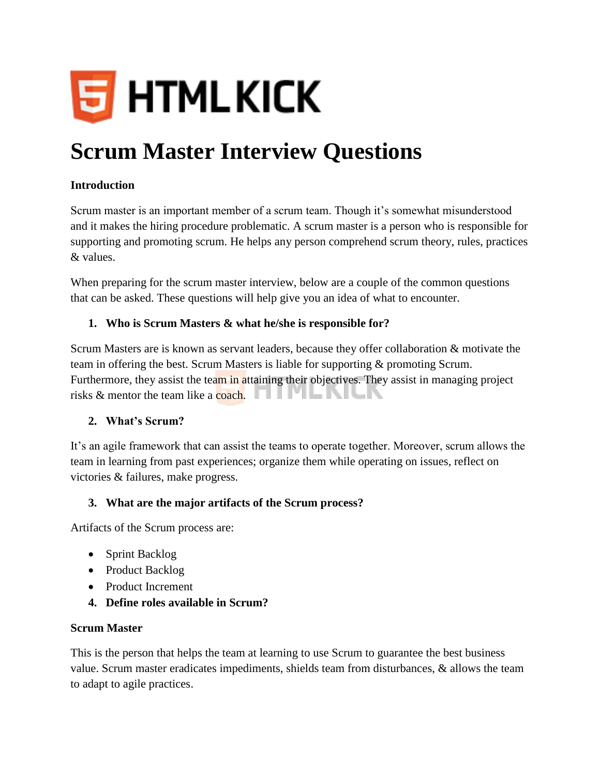

# **Scrum Master Interview Questions**

## **Introduction**

Scrum master is an important member of a scrum team. Though it's somewhat misunderstood and it makes the hiring procedure problematic. A scrum master is a person who is responsible for supporting and promoting scrum. He helps any person comprehend scrum theory, rules, practices & values.

When preparing for the scrum master interview, below are a couple of the common questions that can be asked. These questions will help give you an idea of what to encounter.

## **1. Who is Scrum Masters & what he/she is responsible for?**

Scrum Masters are is known as servant leaders, because they offer collaboration & motivate the team in offering the best. Scrum Masters is liable for supporting & promoting Scrum. Furthermore, they assist the team in attaining their objectives. They assist in managing project risks  $\&$  mentor the team like a coach.  $\Box$ 

#### **2. What's Scrum?**

It's an agile framework that can assist the teams to operate together. Moreover, scrum allows the team in learning from past experiences; organize them while operating on issues, reflect on victories & failures, make progress.

#### **3. What are the major artifacts of the Scrum process?**

Artifacts of the Scrum process are:

- Sprint Backlog
- Product Backlog
- Product Increment
- **4. Define roles available in Scrum?**

#### **Scrum Master**

This is the person that helps the team at learning to use Scrum to guarantee the best business value. Scrum master eradicates impediments, shields team from disturbances, & allows the team to adapt to agile practices.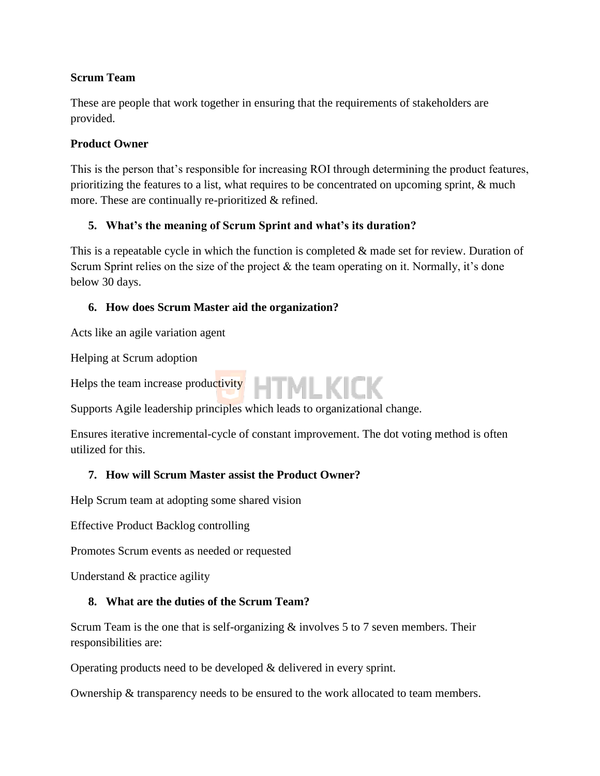## **Scrum Team**

These are people that work together in ensuring that the requirements of stakeholders are provided.

#### **Product Owner**

This is the person that's responsible for increasing ROI through determining the product features, prioritizing the features to a list, what requires to be concentrated on upcoming sprint, & much more. These are continually re-prioritized & refined.

## **5. What's the meaning of Scrum Sprint and what's its duration?**

This is a repeatable cycle in which the function is completed & made set for review. Duration of Scrum Sprint relies on the size of the project  $\&$  the team operating on it. Normally, it's done below 30 days.

## **6. How does Scrum Master aid the organization?**

Acts like an agile variation agent

Helping at Scrum adoption

Helps the team increase productivity **HTMLKICK** 



Ensures iterative incremental-cycle of constant improvement. The dot voting method is often utilized for this.

#### **7. How will Scrum Master assist the Product Owner?**

Help Scrum team at adopting some shared vision

Effective Product Backlog controlling

Promotes Scrum events as needed or requested

Understand & practice agility

#### **8. What are the duties of the Scrum Team?**

Scrum Team is the one that is self-organizing & involves 5 to 7 seven members. Their responsibilities are:

Operating products need to be developed & delivered in every sprint.

Ownership & transparency needs to be ensured to the work allocated to team members.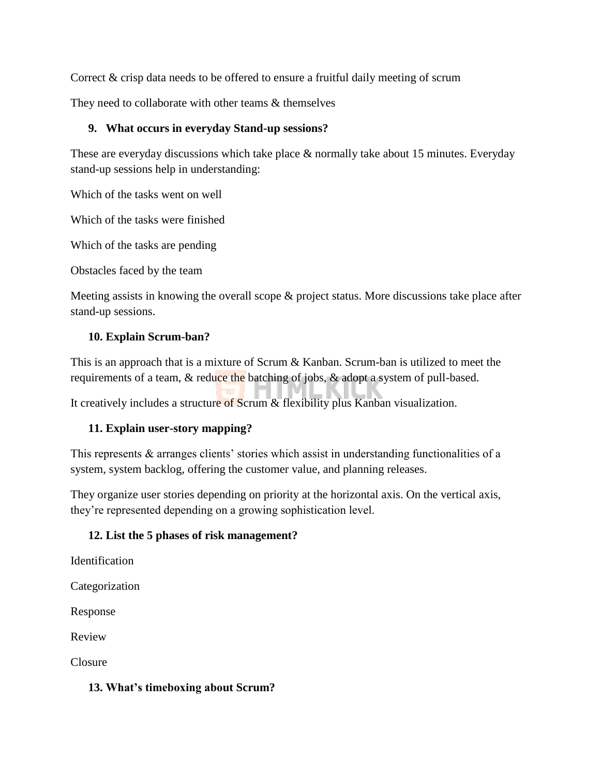Correct & crisp data needs to be offered to ensure a fruitful daily meeting of scrum

They need to collaborate with other teams  $&$  themselves

## **9. What occurs in everyday Stand-up sessions?**

These are everyday discussions which take place & normally take about 15 minutes. Everyday stand-up sessions help in understanding:

Which of the tasks went on well

Which of the tasks were finished

Which of the tasks are pending

Obstacles faced by the team

Meeting assists in knowing the overall scope & project status. More discussions take place after stand-up sessions.

# **10. Explain Scrum-ban?**

This is an approach that is a mixture of Scrum & Kanban. Scrum-ban is utilized to meet the requirements of a team, & reduce the batching of jobs, & adopt a system of pull-based.

It creatively includes a structure of Scrum & flexibility plus Kanban visualization.

# **11. Explain user-story mapping?**

This represents & arranges clients' stories which assist in understanding functionalities of a system, system backlog, offering the customer value, and planning releases.

They organize user stories depending on priority at the horizontal axis. On the vertical axis, they're represented depending on a growing sophistication level.

# **12. List the 5 phases of risk management?**

Identification

Categorization

Response

Review

Closure

#### **13. What's timeboxing about Scrum?**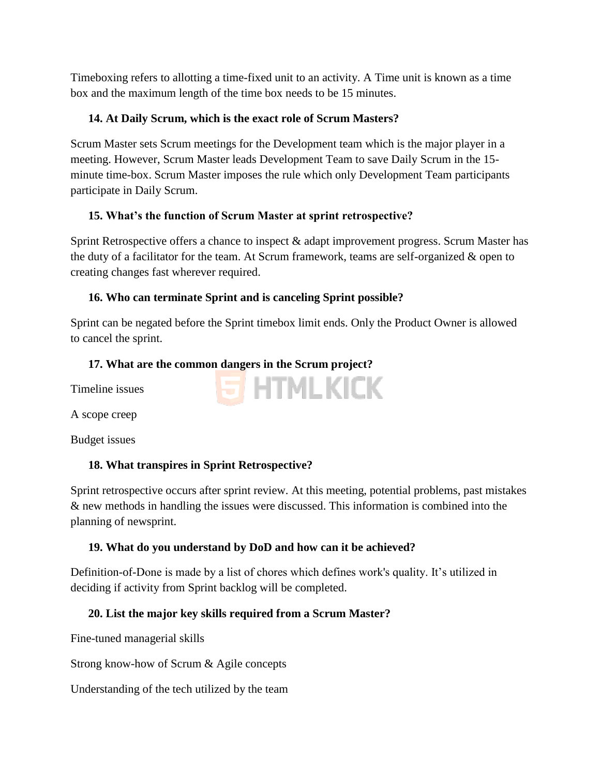Timeboxing refers to allotting a time-fixed unit to an activity. A Time unit is known as a time box and the maximum length of the time box needs to be 15 minutes.

## **14. At Daily Scrum, which is the exact role of Scrum Masters?**

Scrum Master sets Scrum meetings for the Development team which is the major player in a meeting. However, Scrum Master leads Development Team to save Daily Scrum in the 15 minute time-box. Scrum Master imposes the rule which only Development Team participants participate in Daily Scrum.

## **15. What's the function of Scrum Master at sprint retrospective?**

Sprint Retrospective offers a chance to inspect & adapt improvement progress. Scrum Master has the duty of a facilitator for the team. At Scrum framework, teams are self-organized & open to creating changes fast wherever required.

## **16. Who can terminate Sprint and is canceling Sprint possible?**

Sprint can be negated before the Sprint timebox limit ends. Only the Product Owner is allowed to cancel the sprint.

**S HTMLKICK** 

## **17. What are the common dangers in the Scrum project?**

Timeline issues

A scope creep

Budget issues

# **18. What transpires in Sprint Retrospective?**

Sprint retrospective occurs after sprint review. At this meeting, potential problems, past mistakes & new methods in handling the issues were discussed. This information is combined into the planning of newsprint.

# **19. What do you understand by DoD and how can it be achieved?**

Definition-of-Done is made by a list of chores which defines work's quality. It's utilized in deciding if activity from Sprint backlog will be completed.

# **20. List the major key skills required from a Scrum Master?**

Fine-tuned managerial skills

Strong know-how of Scrum & Agile concepts

Understanding of the tech utilized by the team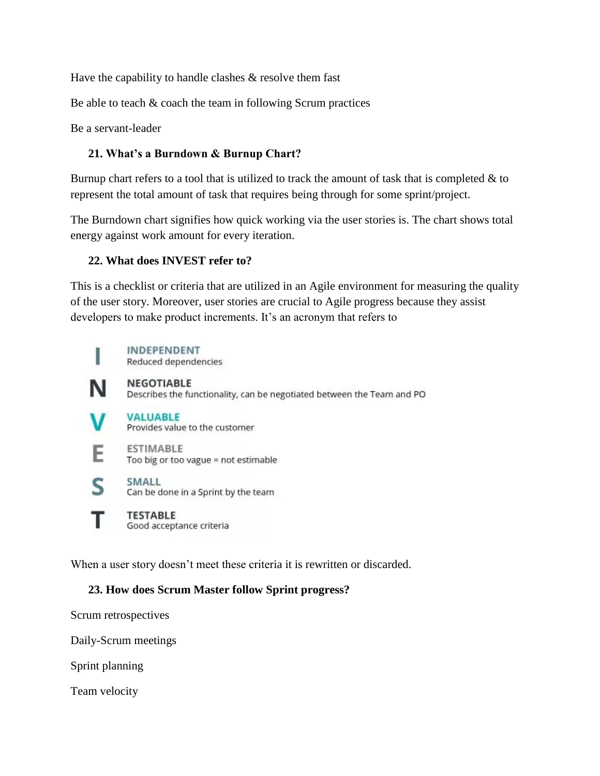Have the capability to handle clashes  $\&$  resolve them fast

Be able to teach  $&$  coach the team in following Scrum practices

Be a servant-leader

# **21. What's a Burndown & Burnup Chart?**

Burnup chart refers to a tool that is utilized to track the amount of task that is completed  $\&$  to represent the total amount of task that requires being through for some sprint/project.

The Burndown chart signifies how quick working via the user stories is. The chart shows total energy against work amount for every iteration.

# **22. What does INVEST refer to?**

This is a checklist or criteria that are utilized in an Agile environment for measuring the quality of the user story. Moreover, user stories are crucial to Agile progress because they assist developers to make product increments. It's an acronym that refers to



E

**INDEPENDENT** Reduced dependencies

**NEGOTIABLE** N

Describes the functionality, can be negotiated between the Team and PO

**VALUABLE** 

Provides value to the customer

**ESTIMABLE** Too big or too vague = not estimable

- **SMALL** S. Can be done in a Sprint by the team
	- **TESTABLE** Good acceptance criteria

When a user story doesn't meet these criteria it is rewritten or discarded.

# **23. How does Scrum Master follow Sprint progress?**

Scrum retrospectives

Daily-Scrum meetings

Sprint planning

Team velocity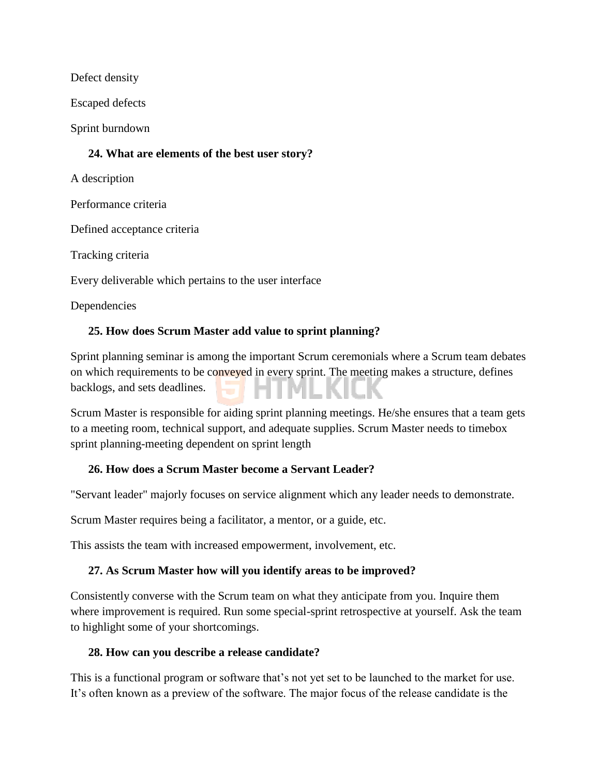Defect density

Escaped defects

Sprint burndown

## **24. What are elements of the best user story?**

A description

Performance criteria

Defined acceptance criteria

Tracking criteria

Every deliverable which pertains to the user interface

Dependencies

## **25. How does Scrum Master add value to sprint planning?**

Sprint planning seminar is among the important Scrum ceremonials where a Scrum team debates on which requirements to be conveyed in every sprint. The meeting makes a structure, defines backlogs, and sets deadlines.

Scrum Master is responsible for aiding sprint planning meetings. He/she ensures that a team gets to a meeting room, technical support, and adequate supplies. Scrum Master needs to timebox sprint planning-meeting dependent on sprint length

#### **26. How does a Scrum Master become a Servant Leader?**

"Servant leader" majorly focuses on service alignment which any leader needs to demonstrate.

Scrum Master requires being a facilitator, a mentor, or a guide, etc.

This assists the team with increased empowerment, involvement, etc.

#### **27. As Scrum Master how will you identify areas to be improved?**

Consistently converse with the Scrum team on what they anticipate from you. Inquire them where improvement is required. Run some special-sprint retrospective at yourself. Ask the team to highlight some of your shortcomings.

#### **28. How can you describe a release candidate?**

This is a functional program or software that's not yet set to be launched to the market for use. It's often known as a preview of the software. The major focus of the release candidate is the